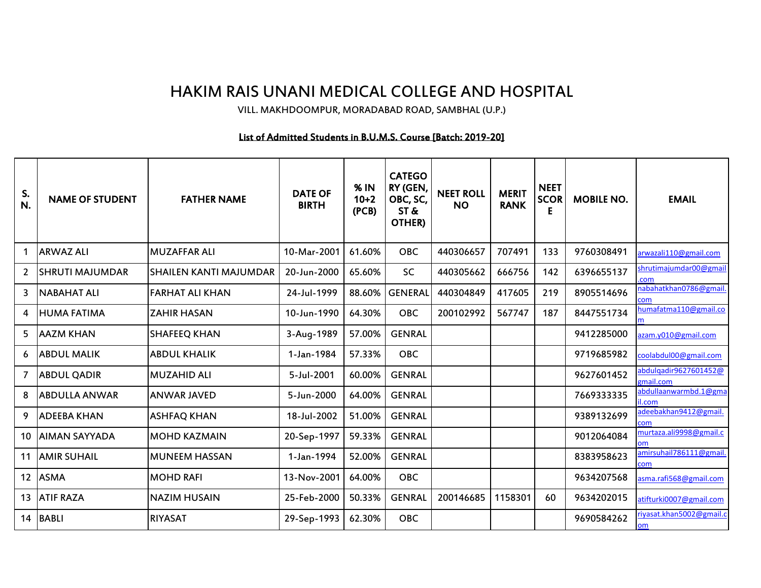## HAKIM RAIS UNANI MEDICAL COLLEGE AND HOSPITAL

VILL. MAKHDOOMPUR, MORADABAD ROAD, SAMBHAL (U.P.)

## List of Admitted Students in B.U.M.S. Course [Batch: 2019-20]

| S.<br>N.          | <b>NAME OF STUDENT</b> | <b>FATHER NAME</b>            | <b>DATE OF</b><br><b>BIRTH</b> | % IN<br>$10 + 2$<br>(PCB) | <b>CATEGO</b><br>RY (GEN,<br>OBC, SC,<br>ST &<br>OTHER) | <b>NEET ROLL</b><br><b>NO</b> | <b>MERIT</b><br><b>RANK</b> | <b>NEET</b><br><b>SCOR</b><br>Е | <b>MOBILE NO.</b> | <b>EMAIL</b>                       |
|-------------------|------------------------|-------------------------------|--------------------------------|---------------------------|---------------------------------------------------------|-------------------------------|-----------------------------|---------------------------------|-------------------|------------------------------------|
|                   | <b>ARWAZ ALI</b>       | <b>MUZAFFAR ALI</b>           | 10-Mar-2001                    | 61.60%                    | <b>OBC</b>                                              | 440306657                     | 707491                      | 133                             | 9760308491        | arwazali110@gmail.com              |
| 2                 | <b>SHRUTI MAJUMDAR</b> | <b>SHAILEN KANTI MAJUMDAR</b> | 20-Jun-2000                    | 65.60%                    | SC                                                      | 440305662                     | 666756                      | 142                             | 6396655137        | shrutimajumdar00@gmail<br>com      |
| 3                 | <b>NABAHAT ALI</b>     | <b>FARHAT ALI KHAN</b>        | 24-Jul-1999                    | 88.60%                    | <b>GENERAL</b>                                          | 440304849                     | 417605                      | 219                             | 8905514696        | nabahatkhan0786@gmail<br>com.      |
| 4                 | <b>HUMA FATIMA</b>     | <b>ZAHIR HASAN</b>            | 10-Jun-1990                    | 64.30%                    | <b>OBC</b>                                              | 200102992                     | 567747                      | 187                             | 8447551734        | humafatma110@gmail.co              |
| 5                 | <b>AAZM KHAN</b>       | <b>SHAFEEQ KHAN</b>           | 3-Aug-1989                     | 57.00%                    | <b>GENRAL</b>                                           |                               |                             |                                 | 9412285000        | azam.y010@gmail.com                |
| 6                 | <b>ABDUL MALIK</b>     | <b>ABDUL KHALIK</b>           | 1-Jan-1984                     | 57.33%                    | <b>OBC</b>                                              |                               |                             |                                 | 9719685982        | coolabdul00@gmail.com              |
| 7                 | <b>ABDUL QADIR</b>     | <b>MUZAHID ALI</b>            | 5-Jul-2001                     | 60.00%                    | <b>GENRAL</b>                                           |                               |                             |                                 | 9627601452        | abdulqadir9627601452@<br>gmail.com |
| 8                 | <b>ABDULLA ANWAR</b>   | <b>ANWAR JAVED</b>            | 5-Jun-2000                     | 64.00%                    | <b>GENRAL</b>                                           |                               |                             |                                 | 7669333335        | abdullaanwarmbd.1@gma<br>il.com    |
| 9                 | <b>ADEEBA KHAN</b>     | <b>ASHFAQ KHAN</b>            | 18-Jul-2002                    | 51.00%                    | <b>GENRAL</b>                                           |                               |                             |                                 | 9389132699        | adeebakhan9412@gmail.<br>com       |
| 10                | <b>AIMAN SAYYADA</b>   | <b>MOHD KAZMAIN</b>           | 20-Sep-1997                    | 59.33%                    | <b>GENRAL</b>                                           |                               |                             |                                 | 9012064084        | murtaza.ali9998@gmail.c<br>om      |
| 11                | <b>AMIR SUHAIL</b>     | <b>MUNEEM HASSAN</b>          | 1-Jan-1994                     | 52.00%                    | <b>GENRAL</b>                                           |                               |                             |                                 | 8383958623        | amirsuhail786111@gmail.<br>com     |
| $12 \overline{ }$ | <b>ASMA</b>            | <b>MOHD RAFI</b>              | 13-Nov-2001                    | 64.00%                    | <b>OBC</b>                                              |                               |                             |                                 | 9634207568        | asma.rafi568@gmail.com             |
| 13                | <b>ATIF RAZA</b>       | <b>NAZIM HUSAIN</b>           | 25-Feb-2000                    | 50.33%                    | <b>GENRAL</b>                                           | 200146685                     | 1158301                     | 60                              | 9634202015        | atifturki0007@gmail.com            |
| 14                | <b>BABLI</b>           | <b>RIYASAT</b>                | 29-Sep-1993                    | 62.30%                    | <b>OBC</b>                                              |                               |                             |                                 | 9690584262        | riyasat.khan5002@gmail.c<br>om     |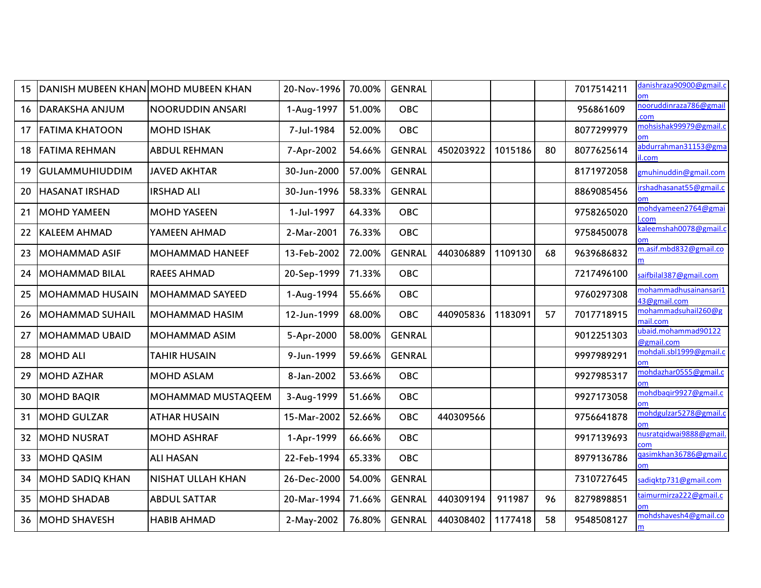| 15 | DANISH MUBEEN KHAN MOHD MUBEEN KHAN |                          | 20-Nov-1996 | 70.00% | <b>GENRAL</b> |           |         |    | 7017514211 | danishraza90900@gmail.c<br><b>om</b>        |
|----|-------------------------------------|--------------------------|-------------|--------|---------------|-----------|---------|----|------------|---------------------------------------------|
| 16 | <b>DARAKSHA ANJUM</b>               | NOORUDDIN ANSARI         | 1-Aug-1997  | 51.00% | OBC           |           |         |    | 956861609  | nooruddinraza786@gmail<br>com               |
| 17 | <b>FATIMA KHATOON</b>               | <b>MOHD ISHAK</b>        | 7-Jul-1984  | 52.00% | <b>OBC</b>    |           |         |    | 8077299979 | mohsishak99979@gmail.c<br>m                 |
| 18 | <b>FATIMA REHMAN</b>                | <b>ABDUL REHMAN</b>      | 7-Apr-2002  | 54.66% | <b>GENRAL</b> | 450203922 | 1015186 | 80 | 8077625614 | abdurrahman31153@gma<br>il.com              |
| 19 | <b>GULAMMUHIUDDIM</b>               | JAVED AKHTAR             | 30-Jun-2000 | 57.00% | <b>GENRAL</b> |           |         |    | 8171972058 | <u>zmuhinuddin@gmail.com</u>                |
| 20 | <b>HASANAT IRSHAD</b>               | <b>IRSHAD ALI</b>        | 30-Jun-1996 | 58.33% | <b>GENRAL</b> |           |         |    | 8869085456 | rshadhasanat 55@gmail.c                     |
| 21 | <b>MOHD YAMEEN</b>                  | <b>MOHD YASEEN</b>       | 1-Jul-1997  | 64.33% | <b>OBC</b>    |           |         |    | 9758265020 | mohdyameen2764@gmai<br>com                  |
| 22 | <b>KALEEM AHMAD</b>                 | YAMEEN AHMAD             | 2-Mar-2001  | 76.33% | <b>OBC</b>    |           |         |    | 9758450078 | caleemshah0078@gmail.c                      |
| 23 | <b>MOHAMMAD ASIF</b>                | <b>MOHAMMAD HANEEF</b>   | 13-Feb-2002 | 72.00% | <b>GENRAL</b> | 440306889 | 1109130 | 68 | 9639686832 | m.asif.mbd832@gmail.co                      |
| 24 | <b>MOHAMMAD BILAL</b>               | <b>RAEES AHMAD</b>       | 20-Sep-1999 | 71.33% | <b>OBC</b>    |           |         |    | 7217496100 | aifbilal387@gmail.com                       |
| 25 | <b>MOHAMMAD HUSAIN</b>              | <b>MOHAMMAD SAYEED</b>   | 1-Aug-1994  | 55.66% | <b>OBC</b>    |           |         |    | 9760297308 | n o hammadhu sa inan sari 1<br>43@gmail.com |
| 26 | <b>MOHAMMAD SUHAIL</b>              | MOHAMMAD HASIM           | 12-Jun-1999 | 68.00% | <b>OBC</b>    | 440905836 | 1183091 | 57 | 7017718915 | mohammadsuhail260@g<br>nail.com             |
| 27 | <b>MOHAMMAD UBAID</b>               | MOHAMMAD ASIM            | 5-Apr-2000  | 58.00% | <b>GENRAL</b> |           |         |    | 9012251303 | ubaid.mohammad90122<br>@gmail.com           |
| 28 | <b>MOHD ALI</b>                     | <b>TAHIR HUSAIN</b>      | 9-Jun-1999  | 59.66% | <b>GENRAL</b> |           |         |    | 9997989291 | mohdali.sbl1999@gmail.c                     |
| 29 | <b>MOHD AZHAR</b>                   | <b>MOHD ASLAM</b>        | 8-Jan-2002  | 53.66% | <b>OBC</b>    |           |         |    | 9927985317 | mohdazhar0555@gmail.c<br>om                 |
| 30 | <b>MOHD BAQIR</b>                   | MOHAMMAD MUSTAQEEM       | 3-Aug-1999  | 51.66% | <b>OBC</b>    |           |         |    | 9927173058 | mohdbaqir9927@gmail.c                       |
| 31 | <b>MOHD GULZAR</b>                  | <b>ATHAR HUSAIN</b>      | 15-Mar-2002 | 52.66% | <b>OBC</b>    | 440309566 |         |    | 9756641878 | mohdgulzar 5278@gmail.c                     |
| 32 | <b>MOHD NUSRAT</b>                  | <b>MOHD ASHRAF</b>       | 1-Apr-1999  | 66.66% | <b>OBC</b>    |           |         |    | 9917139693 | nusratqidwai9888@gmail.<br>:om              |
| 33 | <b>MOHD QASIM</b>                   | <b>ALI HASAN</b>         | 22-Feb-1994 | 65.33% | <b>OBC</b>    |           |         |    | 8979136786 | asimkhan 36786@gmail.c<br>วm                |
| 34 | MOHD SADIQ KHAN                     | <b>NISHAT ULLAH KHAN</b> | 26-Dec-2000 | 54.00% | <b>GENRAL</b> |           |         |    | 7310727645 | adiqktp731@gmail.com                        |
| 35 | <b>MOHD SHADAB</b>                  | <b>ABDUL SATTAR</b>      | 20-Mar-1994 | 71.66% | <b>GENRAL</b> | 440309194 | 911987  | 96 | 8279898851 | aimurmirza222@gmail.c                       |
| 36 | MOHD SHAVESH                        | <b>HABIB AHMAD</b>       | 2-May-2002  | 76.80% | <b>GENRAL</b> | 440308402 | 1177418 | 58 | 9548508127 | mohdshavesh4@gmail.co                       |